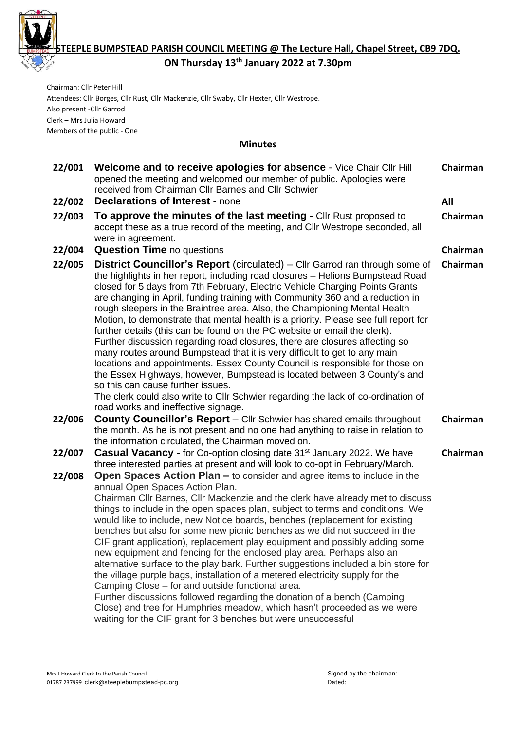

**STEEPLE BUMPSTEAD PARISH COUNCIL MEETING @ The Lecture Hall, Chapel Street, CB9 7DQ.** 

**ON Thursday 13th January 2022 at 7.30pm**

Chairman: Cllr Peter Hill Attendees: Cllr Borges, Cllr Rust, Cllr Mackenzie, Cllr Swaby, Cllr Hexter, Cllr Westrope. Also present -Cllr Garrod Clerk – Mrs Julia Howard Members of the public - One

### **Minutes**

| 22/001           | Welcome and to receive apologies for absence - Vice Chair Cllr Hill<br>opened the meeting and welcomed our member of public. Apologies were<br>received from Chairman CIIr Barnes and CIIr Schwier                                                                                                                                                                                                                                                                                                                                                                                                                                                                                                                                                                                                                                                                                                                                                                                                                                                                              | Chairman |
|------------------|---------------------------------------------------------------------------------------------------------------------------------------------------------------------------------------------------------------------------------------------------------------------------------------------------------------------------------------------------------------------------------------------------------------------------------------------------------------------------------------------------------------------------------------------------------------------------------------------------------------------------------------------------------------------------------------------------------------------------------------------------------------------------------------------------------------------------------------------------------------------------------------------------------------------------------------------------------------------------------------------------------------------------------------------------------------------------------|----------|
| 22/002           | <b>Declarations of Interest - none</b>                                                                                                                                                                                                                                                                                                                                                                                                                                                                                                                                                                                                                                                                                                                                                                                                                                                                                                                                                                                                                                          | All      |
| 22/003           | To approve the minutes of the last meeting - Cllr Rust proposed to<br>accept these as a true record of the meeting, and Cllr Westrope seconded, all<br>were in agreement.                                                                                                                                                                                                                                                                                                                                                                                                                                                                                                                                                                                                                                                                                                                                                                                                                                                                                                       | Chairman |
| 22/004           | <b>Question Time no questions</b>                                                                                                                                                                                                                                                                                                                                                                                                                                                                                                                                                                                                                                                                                                                                                                                                                                                                                                                                                                                                                                               | Chairman |
| 22/005           | <b>District Councillor's Report</b> (circulated) – Cllr Garrod ran through some of<br>the highlights in her report, including road closures - Helions Bumpstead Road<br>closed for 5 days from 7th February, Electric Vehicle Charging Points Grants<br>are changing in April, funding training with Community 360 and a reduction in<br>rough sleepers in the Braintree area. Also, the Championing Mental Health<br>Motion, to demonstrate that mental health is a priority. Please see full report for<br>further details (this can be found on the PC website or email the clerk).<br>Further discussion regarding road closures, there are closures affecting so<br>many routes around Bumpstead that it is very difficult to get to any main<br>locations and appointments. Essex County Council is responsible for those on<br>the Essex Highways, however, Bumpstead is located between 3 County's and<br>so this can cause further issues.<br>The clerk could also write to Cllr Schwier regarding the lack of co-ordination of<br>road works and ineffective signage. | Chairman |
| 22/006           | <b>County Councillor's Report</b> – Cllr Schwier has shared emails throughout<br>the month. As he is not present and no one had anything to raise in relation to<br>the information circulated, the Chairman moved on.                                                                                                                                                                                                                                                                                                                                                                                                                                                                                                                                                                                                                                                                                                                                                                                                                                                          | Chairman |
| 22/007<br>22/008 | <b>Casual Vacancy - for Co-option closing date 31<sup>st</sup> January 2022. We have</b><br>three interested parties at present and will look to co-opt in February/March.<br>Open Spaces Action Plan – to consider and agree items to include in the                                                                                                                                                                                                                                                                                                                                                                                                                                                                                                                                                                                                                                                                                                                                                                                                                           | Chairman |
|                  | annual Open Spaces Action Plan.<br>Chairman Cllr Barnes, Cllr Mackenzie and the clerk have already met to discuss<br>things to include in the open spaces plan, subject to terms and conditions. We<br>would like to include, new Notice boards, benches (replacement for existing<br>benches but also for some new picnic benches as we did not succeed in the<br>CIF grant application), replacement play equipment and possibly adding some<br>new equipment and fencing for the enclosed play area. Perhaps also an<br>alternative surface to the play bark. Further suggestions included a bin store for<br>the village purple bags, installation of a metered electricity supply for the<br>Camping Close – for and outside functional area.<br>Further discussions followed regarding the donation of a bench (Camping<br>Close) and tree for Humphries meadow, which hasn't proceeded as we were<br>waiting for the CIF grant for 3 benches but were unsuccessful                                                                                                       |          |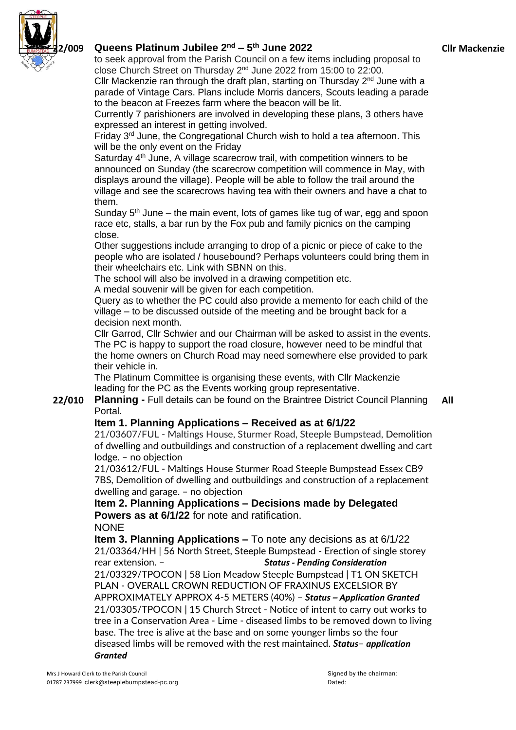

# **22/009 Queens Platinum Jubilee 2 nd – 5 th June 2022**

to seek approval from the Parish Council on a few items including proposal to close Church Street on Thursday 2<sup>nd</sup> June 2022 from 15:00 to 22:00.

Cllr Mackenzie ran through the draft plan, starting on Thursday 2<sup>nd</sup> June with a parade of Vintage Cars. Plans include Morris dancers, Scouts leading a parade to the beacon at Freezes farm where the beacon will be lit.

Currently 7 parishioners are involved in developing these plans, 3 others have expressed an interest in getting involved.

Friday 3<sup>rd</sup> June, the Congregational Church wish to hold a tea afternoon. This will be the only event on the Friday

Saturday 4<sup>th</sup> June, A village scarecrow trail, with competition winners to be announced on Sunday (the scarecrow competition will commence in May, with displays around the village). People will be able to follow the trail around the village and see the scarecrows having tea with their owners and have a chat to them.

Sunday 5<sup>th</sup> June – the main event, lots of games like tug of war, egg and spoon race etc, stalls, a bar run by the Fox pub and family picnics on the camping close.

Other suggestions include arranging to drop of a picnic or piece of cake to the people who are isolated / housebound? Perhaps volunteers could bring them in their wheelchairs etc. Link with SBNN on this.

The school will also be involved in a drawing competition etc.

A medal souvenir will be given for each competition.

Query as to whether the PC could also provide a memento for each child of the village – to be discussed outside of the meeting and be brought back for a decision next month.

Cllr Garrod, Cllr Schwier and our Chairman will be asked to assist in the events. The PC is happy to support the road closure, however need to be mindful that the home owners on Church Road may need somewhere else provided to park their vehicle in.

The Platinum Committee is organising these events, with Cllr Mackenzie leading for the PC as the Events working group representative.

**22/010 Planning -** Full details can be found on the Braintree District Council Planning Portal. **All**

# **Item 1. Planning Applications – Received as at 6/1/22**

21/03607/FUL - Maltings House, Sturmer Road, Steeple Bumpstead, [Demolition](https://publicaccess.braintree.gov.uk/online-applications/applicationDetails.do?activeTab=summary&keyVal=R3XYDFBFHNO00&prevPage=inTray) of dwelling and outbuildings and [construction](https://publicaccess.braintree.gov.uk/online-applications/applicationDetails.do?activeTab=summary&keyVal=R3XYDFBFHNO00&prevPage=inTray) of a replacement dwelling and cart [lodge.](https://publicaccess.braintree.gov.uk/online-applications/applicationDetails.do?activeTab=summary&keyVal=R3XYDFBFHNO00&prevPage=inTray) – no objection

21/03612/FUL - Maltings House Sturmer Road Steeple Bumpstead Essex CB9 7BS, Demolition of dwelling and outbuildings and construction of a replacement dwelling and garage. – no objection

**Item 2. Planning Applications – Decisions made by Delegated Powers as at 6/1/22** for note and ratification. NONE

**Item 3. Planning Applications –** To note any decisions as at 6/1/22 21/03364/HH | 56 North Street, Steeple Bumpstead - Erection of single storey rear extension. – *Status - Pending Consideration* 21/03329/TPOCON | 58 Lion Meadow Steeple Bumpstead | T1 ON SKETCH PLAN - OVERALL CROWN REDUCTION OF FRAXINUS EXCELSIOR BY APPROXIMATELY APPROX 4-5 METERS (40%) – *Status – Application Granted* 21/03305/TPOCON | 15 Church Street - Notice of intent to carry out works to tree in a Conservation Area - Lime - diseased limbs to be removed down to living base. The tree is alive at the base and on some younger limbs so the four diseased limbs will be removed with the rest maintained. *Status*– *application Granted*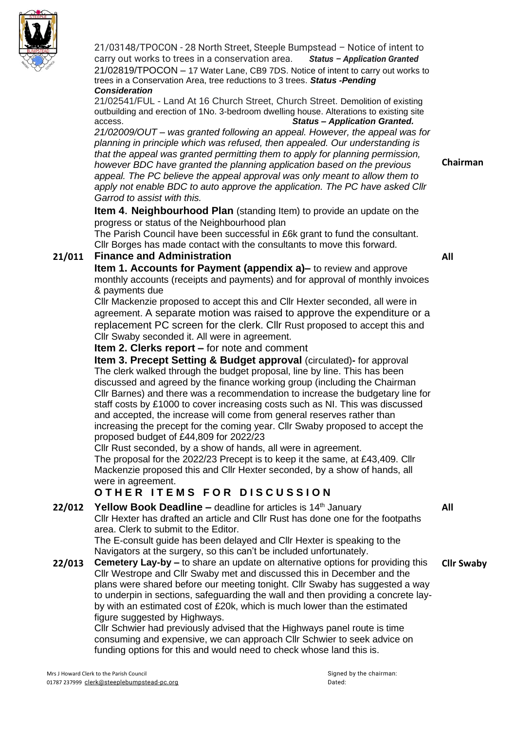

21/03148/TPOCON - 28 North Street, Steeple Bumpstead – Notice of intent to carry out works to trees in a conservation area. *Status – Application Granted* 21/02819/TPOCON – 17 Water Lane, CB9 7DS. Notice of intent to carry out works to trees in a Conservation Area, tree reductions to 3 trees. *Status -Pending Consideration*

21/02541/FUL - Land At 16 Church Street, Church Street. Demolition of existing outbuilding and erection of 1No. 3-bedroom dwelling house. Alterations to existing site access. *Status – Application Granted.*

*21/02009/OUT – was granted following an appeal. However, the appeal was for planning in principle which was refused, then appealed. Our understanding is that the appeal was granted permitting them to apply for planning permission, however BDC have granted the planning application based on the previous appeal. The PC believe the appeal approval was only meant to allow them to apply not enable BDC to auto approve the application. The PC have asked Cllr Garrod to assist with this.*

**Item 4**. **Neighbourhood Plan** (standing Item) to provide an update on the progress or status of the Neighbourhood plan

The Parish Council have been successful in £6k grant to fund the consultant. Cllr Borges has made contact with the consultants to move this forward.

# **21/011 Finance and Administration**

**All**

**Chairman**

**Item 1. Accounts for Payment (appendix a)–** to review and approve monthly accounts (receipts and payments) and for approval of monthly invoices & payments due

Cllr Mackenzie proposed to accept this and Cllr Hexter seconded, all were in agreement. A separate motion was raised to approve the expenditure or a replacement PC screen for the clerk. Cllr Rust proposed to accept this and Cllr Swaby seconded it. All were in agreement.

**Item 2. Clerks report –** for note and comment

**Item 3. Precept Setting & Budget approval** (circulated)**-** for approval The clerk walked through the budget proposal, line by line. This has been discussed and agreed by the finance working group (including the Chairman Cllr Barnes) and there was a recommendation to increase the budgetary line for staff costs by £1000 to cover increasing costs such as NI. This was discussed and accepted, the increase will come from general reserves rather than increasing the precept for the coming year. Cllr Swaby proposed to accept the proposed budget of £44,809 for 2022/23

Cllr Rust seconded, by a show of hands, all were in agreement. The proposal for the 2022/23 Precept is to keep it the same, at £43,409. Cllr Mackenzie proposed this and Cllr Hexter seconded, by a show of hands, all were in agreement.

# $O$  **THER ITEMS FOR DISCUSSION**

**22/012 Yellow Book Deadline** – deadline for articles is 14<sup>th</sup> January Cllr Hexter has drafted an article and Cllr Rust has done one for the footpaths area. Clerk to submit to the Editor.

The E-consult guide has been delayed and Cllr Hexter is speaking to the Navigators at the surgery, so this can't be included unfortunately.

**22/013 Cemetery Lay-by –** to share an update on alternative options for providing this Cllr Westrope and Cllr Swaby met and discussed this in December and the plans were shared before our meeting tonight. Cllr Swaby has suggested a way to underpin in sections, safeguarding the wall and then providing a concrete layby with an estimated cost of £20k, which is much lower than the estimated figure suggested by Highways.

Cllr Schwier had previously advised that the Highways panel route is time consuming and expensive, we can approach Cllr Schwier to seek advice on funding options for this and would need to check whose land this is.

Mrs J Howard Clerk to the Parish Council Signed by the chairman: Signed by the chairman: 01787 237999 [clerk@steeplebumpstead-pc.org](mailto:clerk@steeplebumpstead-pc.org) Dated:

**All**

**Cllr Swaby**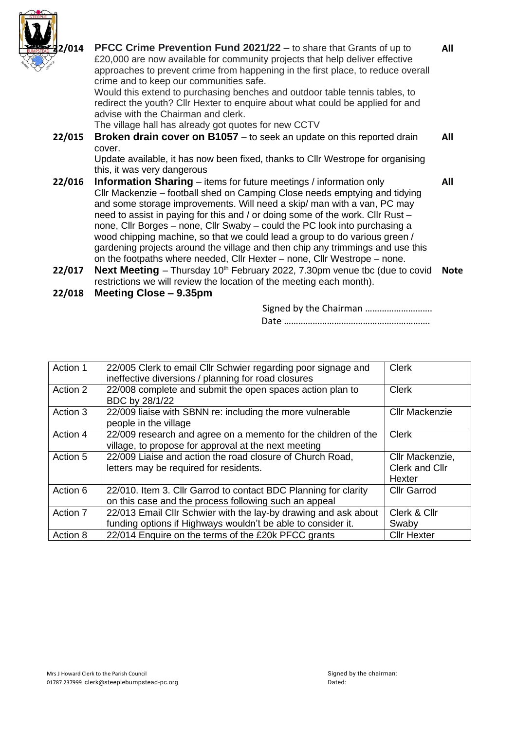

| 42/014 | <b>PFCC Crime Prevention Fund 2021/22</b> - to share that Grants of up to<br>£20,000 are now available for community projects that help deliver effective<br>approaches to prevent crime from happening in the first place, to reduce overall<br>crime and to keep our communities safe.                                                                                                                                                                                                                                                                          | All         |
|--------|-------------------------------------------------------------------------------------------------------------------------------------------------------------------------------------------------------------------------------------------------------------------------------------------------------------------------------------------------------------------------------------------------------------------------------------------------------------------------------------------------------------------------------------------------------------------|-------------|
|        | Would this extend to purchasing benches and outdoor table tennis tables, to<br>redirect the youth? Cllr Hexter to enquire about what could be applied for and<br>advise with the Chairman and clerk.                                                                                                                                                                                                                                                                                                                                                              |             |
|        | The village hall has already got quotes for new CCTV                                                                                                                                                                                                                                                                                                                                                                                                                                                                                                              |             |
| 22/015 | Broken drain cover on B1057 - to seek an update on this reported drain                                                                                                                                                                                                                                                                                                                                                                                                                                                                                            | All         |
|        | cover.                                                                                                                                                                                                                                                                                                                                                                                                                                                                                                                                                            |             |
|        | Update available, it has now been fixed, thanks to Cllr Westrope for organising                                                                                                                                                                                                                                                                                                                                                                                                                                                                                   |             |
|        | this, it was very dangerous                                                                                                                                                                                                                                                                                                                                                                                                                                                                                                                                       |             |
| 22/016 | <b>Information Sharing</b> – items for future meetings / information only                                                                                                                                                                                                                                                                                                                                                                                                                                                                                         | All         |
|        | Cllr Mackenzie – football shed on Camping Close needs emptying and tidying<br>and some storage improvements. Will need a skip/ man with a van, PC may<br>need to assist in paying for this and / or doing some of the work. Cllr Rust -<br>none, Cllr Borges – none, Cllr Swaby – could the PC look into purchasing a<br>wood chipping machine, so that we could lead a group to do various green /<br>gardening projects around the village and then chip any trimmings and use this<br>on the footpaths where needed, Cllr Hexter – none, Cllr Westrope – none. |             |
| 22/017 | Next Meeting - Thursday 10 <sup>th</sup> February 2022, 7.30pm venue tbc (due to covid<br>restrictions we will review the location of the meeting each month).                                                                                                                                                                                                                                                                                                                                                                                                    | <b>Note</b> |

**22/018 Meeting Close – 9.35pm**

Signed by the Chairman ………………………. Date …………………………………………………….

| Action 1 | 22/005 Clerk to email Cllr Schwier regarding poor signage and<br>ineffective diversions / planning for road closures            | <b>Clerk</b>                                |
|----------|---------------------------------------------------------------------------------------------------------------------------------|---------------------------------------------|
| Action 2 | 22/008 complete and submit the open spaces action plan to<br>BDC by 28/1/22                                                     | <b>Clerk</b>                                |
| Action 3 | 22/009 liaise with SBNN re: including the more vulnerable<br>people in the village                                              | <b>Cllr Mackenzie</b>                       |
| Action 4 | 22/009 research and agree on a memento for the children of the<br>village, to propose for approval at the next meeting          | <b>Clerk</b>                                |
| Action 5 | 22/009 Liaise and action the road closure of Church Road,<br>letters may be required for residents.                             | Cllr Mackenzie,<br>Clerk and Cllr<br>Hexter |
| Action 6 | 22/010. Item 3. Cllr Garrod to contact BDC Planning for clarity<br>on this case and the process following such an appeal        | <b>Cllr Garrod</b>                          |
| Action 7 | 22/013 Email Cllr Schwier with the lay-by drawing and ask about<br>funding options if Highways wouldn't be able to consider it. | Clerk & Cllr<br>Swaby                       |
| Action 8 | 22/014 Enquire on the terms of the £20k PFCC grants                                                                             | <b>Cllr Hexter</b>                          |